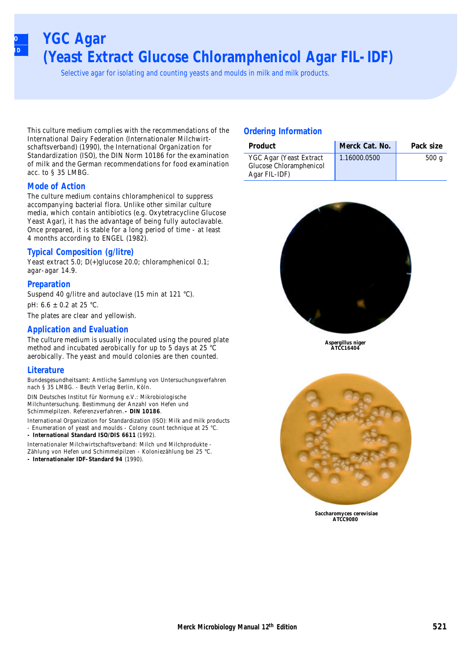## **YGC Agar (Yeast Extract Glucose Chloramphenicol Agar FIL-IDF)**

Selective agar for isolating and counting yeasts and moulds in milk and milk products.

This culture medium complies with the recommendations of the International Dairy Federation (Internationaler Milchwirtschaftsverband) (1990), the International Organization for Standardization (ISO), the DIN Norm 10186 for the examination of milk and the German recommendations for food examination acc. to § 35 LMBG.

#### **Mode of Action**

**ISO SMD**

> The culture medium contains chloramphenicol to suppress accompanying bacterial flora. Unlike other similar culture media, which contain antibiotics (e.g. Oxytetracycline Glucose Yeast Agar), it has the advantage of being fully autoclavable. Once prepared, it is stable for a long period of time - at least 4 months according to ENGEL (1982).

#### **Typical Composition (g/litre)**

Yeast extract 5.0; D(+)glucose 20.0; chloramphenicol 0.1; agar-agar 14.9.

#### **Preparation**

Suspend 40 g/litre and autoclave (15 min at 121 °C).

pH: 6.6 ± 0.2 at 25 °C.

The plates are clear and yellowish.

#### **Application and Evaluation**

The culture medium is usually inoculated using the poured plate method and incubated aerobically for up to 5 days at 25 °C aerobically. The yeast and mould colonies are then counted.

#### **Literature**

Bundesgesundheitsamt: Amtliche Sammlung von Untersuchungsverfahren nach § 35 LMBG. - Beuth Verlag Berlin, Köln.

DIN Deutsches Institut für Normung e.V.: Mikrobiologische Milchuntersuchung. Bestimmung der Anzahl von Hefen und Schimmelpilzen. Referenzverfahren. **- DIN 10186**.

International Organization for Standardization (ISO): Milk and milk products - Enumeration of yeast and moulds - Colony count technique at 25 °C. **- International Standard ISO/DIS 6611** (1992).

Internationaler Milchwirtschaftsverband: Milch und Milchprodukte - Zählung von Hefen und Schimmelpilzen - Koloniezählung bei 25 °C. **- Internationaler IDF-Standard 94** (1990).

#### **Ordering Information**

| Product                                                             | Merck Cat. No. | Pack size |
|---------------------------------------------------------------------|----------------|-----------|
| YGC Agar (Yeast Extract<br>Glucose Chloramphenicol<br>Agar FIL-IDF) | 1.16000.0500   | 500q      |



**Aspergillus niger ATCC16404**



**Saccharomyces cerevisiae ATCC9080**